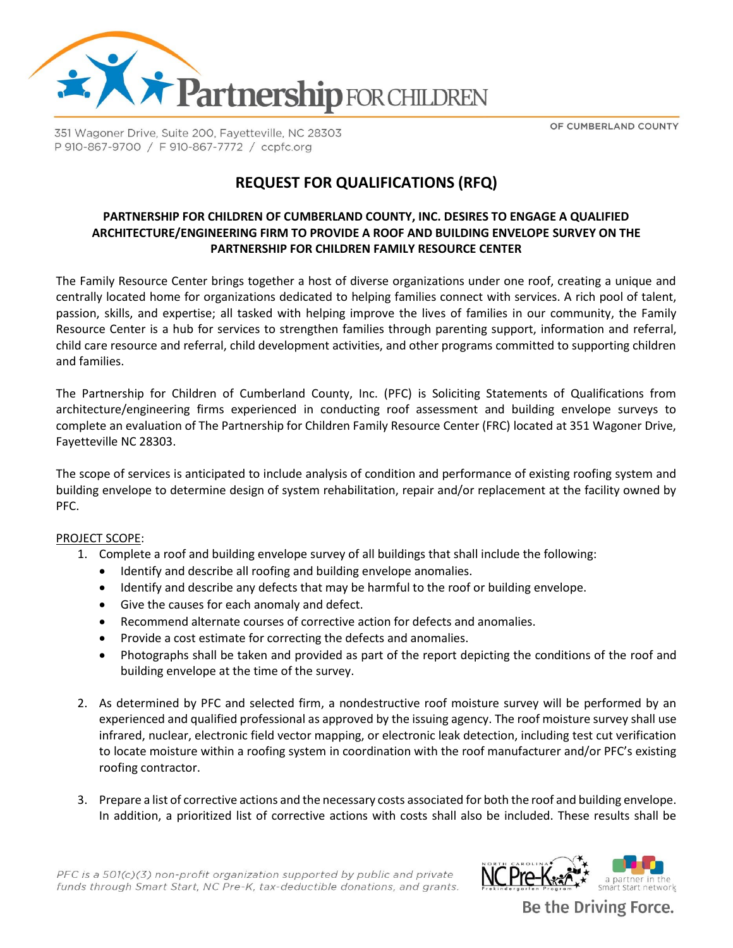

351 Wagoner Drive, Suite 200, Fayetteville, NC 28303 P 910-867-9700 / F 910-867-7772 / ccpfc.org

OF CUMBERLAND COUNTY

# **REQUEST FOR QUALIFICATIONS (RFQ)**

### **PARTNERSHIP FOR CHILDREN OF CUMBERLAND COUNTY, INC. DESIRES TO ENGAGE A QUALIFIED ARCHITECTURE/ENGINEERING FIRM TO PROVIDE A ROOF AND BUILDING ENVELOPE SURVEY ON THE PARTNERSHIP FOR CHILDREN FAMILY RESOURCE CENTER**

The Family Resource Center brings together a host of diverse organizations under one roof, creating a unique and centrally located home for organizations dedicated to helping families connect with services. A rich pool of talent, passion, skills, and expertise; all tasked with helping improve the lives of families in our community, the Family Resource Center is a hub for services to strengthen families through parenting support, information and referral, child care resource and referral, child development activities, and other programs committed to supporting children and families.

The Partnership for Children of Cumberland County, Inc. (PFC) is Soliciting Statements of Qualifications from architecture/engineering firms experienced in conducting roof assessment and building envelope surveys to complete an evaluation of The Partnership for Children Family Resource Center (FRC) located at 351 Wagoner Drive, Fayetteville NC 28303.

The scope of services is anticipated to include analysis of condition and performance of existing roofing system and building envelope to determine design of system rehabilitation, repair and/or replacement at the facility owned by PFC.

#### PROJECT SCOPE:

- 1. Complete a roof and building envelope survey of all buildings that shall include the following:
	- Identify and describe all roofing and building envelope anomalies.
	- Identify and describe any defects that may be harmful to the roof or building envelope.
	- Give the causes for each anomaly and defect.
	- Recommend alternate courses of corrective action for defects and anomalies.
	- Provide a cost estimate for correcting the defects and anomalies.
	- Photographs shall be taken and provided as part of the report depicting the conditions of the roof and building envelope at the time of the survey.
- 2. As determined by PFC and selected firm, a nondestructive roof moisture survey will be performed by an experienced and qualified professional as approved by the issuing agency. The roof moisture survey shall use infrared, nuclear, electronic field vector mapping, or electronic leak detection, including test cut verification to locate moisture within a roofing system in coordination with the roof manufacturer and/or PFC's existing roofing contractor.
- 3. Prepare a list of corrective actions and the necessary costs associated for both the roof and building envelope. In addition, a prioritized list of corrective actions with costs shall also be included. These results shall be

PFC is a 501(c)(3) non-profit organization supported by public and private funds through Smart Start, NC Pre-K, tax-deductible donations, and grants.



Be the Driving Force.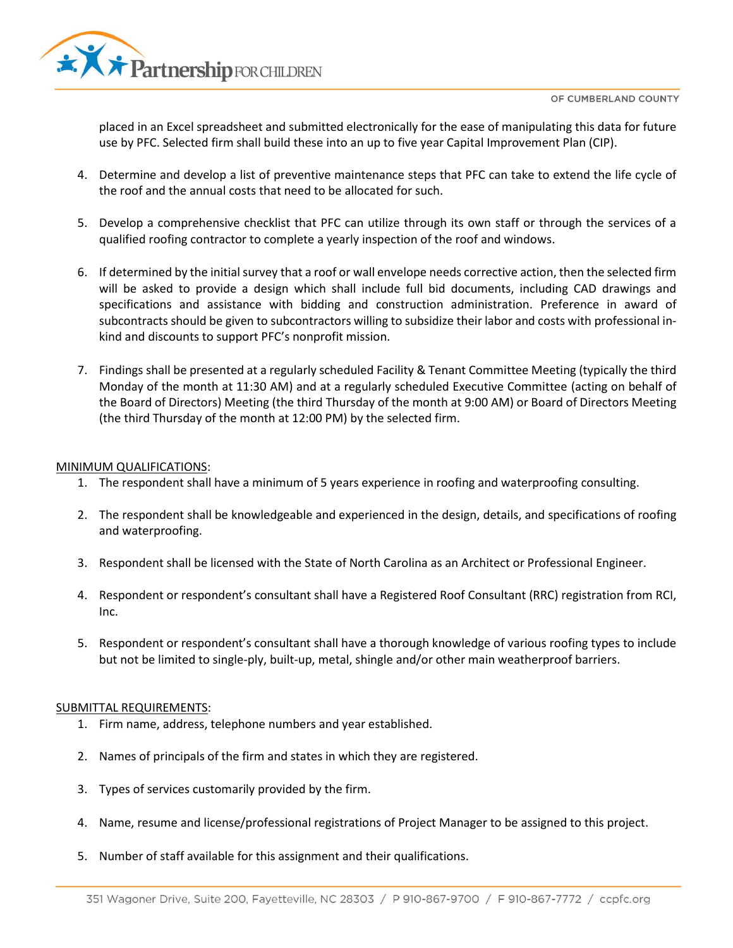

\* Partnership FOR CHILDREN

placed in an Excel spreadsheet and submitted electronically for the ease of manipulating this data for future use by PFC. Selected firm shall build these into an up to five year Capital Improvement Plan (CIP).

- 4. Determine and develop a list of preventive maintenance steps that PFC can take to extend the life cycle of the roof and the annual costs that need to be allocated for such.
- 5. Develop a comprehensive checklist that PFC can utilize through its own staff or through the services of a qualified roofing contractor to complete a yearly inspection of the roof and windows.
- 6. If determined by the initial survey that a roof or wall envelope needs corrective action, then the selected firm will be asked to provide a design which shall include full bid documents, including CAD drawings and specifications and assistance with bidding and construction administration. Preference in award of subcontracts should be given to subcontractors willing to subsidize their labor and costs with professional inkind and discounts to support PFC's nonprofit mission.
- 7. Findings shall be presented at a regularly scheduled Facility & Tenant Committee Meeting (typically the third Monday of the month at 11:30 AM) and at a regularly scheduled Executive Committee (acting on behalf of the Board of Directors) Meeting (the third Thursday of the month at 9:00 AM) or Board of Directors Meeting (the third Thursday of the month at 12:00 PM) by the selected firm.

## MINIMUM QUALIFICATIONS:

- 1. The respondent shall have a minimum of 5 years experience in roofing and waterproofing consulting.
- 2. The respondent shall be knowledgeable and experienced in the design, details, and specifications of roofing and waterproofing.
- 3. Respondent shall be licensed with the State of North Carolina as an Architect or Professional Engineer.
- 4. Respondent or respondent's consultant shall have a Registered Roof Consultant (RRC) registration from RCI, Inc.
- 5. Respondent or respondent's consultant shall have a thorough knowledge of various roofing types to include but not be limited to single-ply, built-up, metal, shingle and/or other main weatherproof barriers.

## SUBMITTAL REQUIREMENTS:

- 1. Firm name, address, telephone numbers and year established.
- 2. Names of principals of the firm and states in which they are registered.
- 3. Types of services customarily provided by the firm.
- 4. Name, resume and license/professional registrations of Project Manager to be assigned to this project.
- 5. Number of staff available for this assignment and their qualifications.